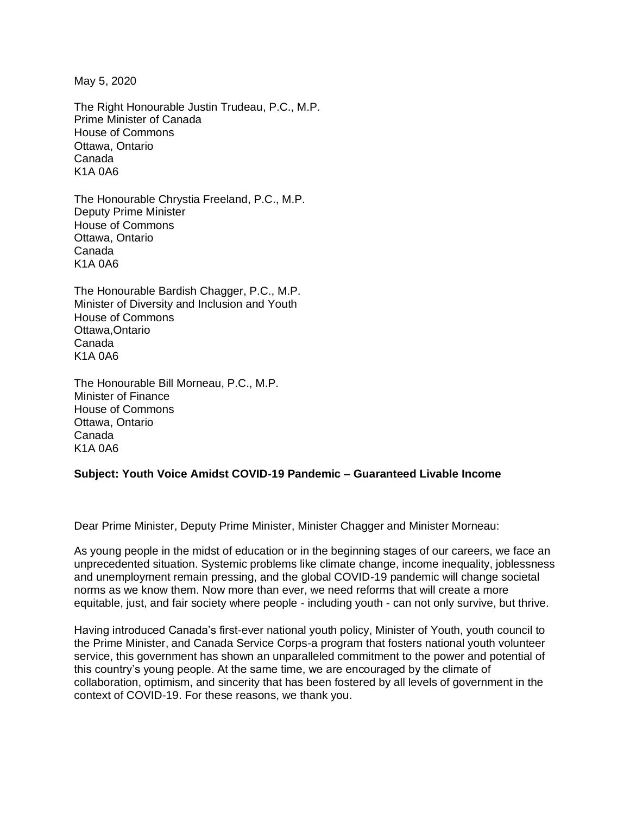May 5, 2020

The Right Honourable Justin Trudeau, P.C., M.P. Prime Minister of Canada House of Commons Ottawa, Ontario Canada K1A 0A6

The Honourable Chrystia Freeland, P.C., M.P. Deputy Prime Minister House of Commons Ottawa, Ontario Canada K1A 0A6

The Honourable Bardish Chagger, P.C., M.P. Minister of Diversity and Inclusion and Youth House of Commons Ottawa,Ontario Canada K1A 0A6

The Honourable Bill Morneau, P.C., M.P. Minister of Finance House of Commons Ottawa, Ontario Canada K1A 0A6

## **Subject: Youth Voice Amidst COVID-19 Pandemic – Guaranteed Livable Income**

Dear Prime Minister, Deputy Prime Minister, Minister Chagger and Minister Morneau:

As young people in the midst of education or in the beginning stages of our careers, we face an unprecedented situation. Systemic problems like climate change, income inequality, joblessness and unemployment remain pressing, and the global COVID-19 pandemic will change societal norms as we know them. Now more than ever, we need reforms that will create a more equitable, just, and fair society where people - including youth - can not only survive, but thrive.

Having introduced Canada's first-ever national youth policy, Minister of Youth, youth council to the Prime Minister, and Canada Service Corps-a program that fosters national youth volunteer service, this government has shown an unparalleled commitment to the power and potential of this country's young people. At the same time, we are encouraged by the climate of collaboration, optimism, and sincerity that has been fostered by all levels of government in the context of COVID-19. For these reasons, we thank you.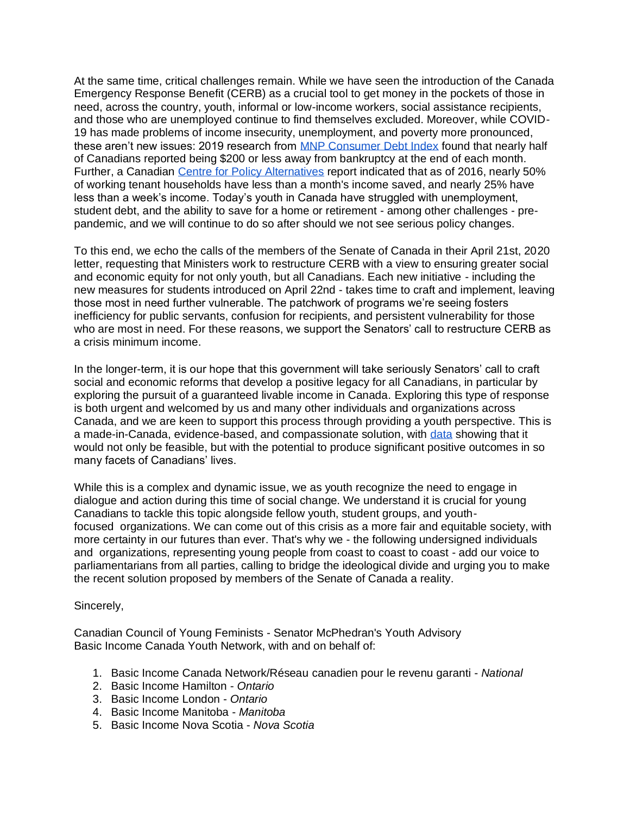At the same time, critical challenges remain. While we have seen the introduction of the Canada Emergency Response Benefit (CERB) as a crucial tool to get money in the pockets of those in need, across the country, youth, informal or low-income workers, social assistance recipients, and those who are unemployed continue to find themselves excluded. Moreover, while COVID-19 has made problems of income insecurity, unemployment, and poverty more pronounced, these aren't new issues: 2019 research from **MNP** Consumer Debt Index found that nearly half of Canadians reported being \$200 or less away from bankruptcy at the end of each month. Further, a Canadian [Centre for Policy Alternatives](https://www.policyalternatives.ca/sites/default/files/uploads/publications/2020/03/Rent%20is%20due%20soon%20FINAL.pdf) report indicated that as of 2016, nearly 50% of working tenant households have less than a month's income saved, and nearly 25% have less than a week's income. Today's youth in Canada have struggled with unemployment, student debt, and the ability to save for a home or retirement - among other challenges - prepandemic, and we will continue to do so after should we not see serious policy changes.

To this end, we echo the calls of the members of the Senate of Canada in their April 21st, 2020 letter, requesting that Ministers work to restructure CERB with a view to ensuring greater social and economic equity for not only youth, but all Canadians. Each new initiative - including the new measures for students introduced on April 22nd - takes time to craft and implement, leaving those most in need further vulnerable. The patchwork of programs we're seeing fosters inefficiency for public servants, confusion for recipients, and persistent vulnerability for those who are most in need. For these reasons, we support the Senators' call to restructure CERB as a crisis minimum income.

In the longer-term, it is our hope that this government will take seriously Senators' call to craft social and economic reforms that develop a positive legacy for all Canadians, in particular by exploring the pursuit of a guaranteed livable income in Canada. Exploring this type of response is both urgent and welcomed by us and many other individuals and organizations across Canada, and we are keen to support this process through providing a youth perspective. This is a made-in-Canada, evidence-based, and compassionate solution, with [data](http://bouncebeta.com/basicincomemanitoba.ca/wp-content/uploads/2019/07/BIM-Infographics.pdf) showing that it would not only be feasible, but with the potential to produce significant positive outcomes in so many facets of Canadians' lives.

While this is a complex and dynamic issue, we as youth recognize the need to engage in dialogue and action during this time of social change. We understand it is crucial for young Canadians to tackle this topic alongside fellow youth, student groups, and youthfocused organizations. We can come out of this crisis as a more fair and equitable society, with more certainty in our futures than ever. That's why we - the following undersigned individuals and organizations, representing young people from coast to coast to coast - add our voice to parliamentarians from all parties, calling to bridge the ideological divide and urging you to make the recent solution proposed by members of the Senate of Canada a reality.

## Sincerely,

Canadian Council of Young Feminists - Senator McPhedran's Youth Advisory Basic Income Canada Youth Network, with and on behalf of:

- 1. Basic Income Canada Network/Réseau canadien pour le revenu garanti *National*
- 2. Basic Income Hamilton *Ontario*
- 3. Basic Income London *Ontario*
- 4. Basic Income Manitoba *Manitoba*
- 5. Basic Income Nova Scotia *Nova Scotia*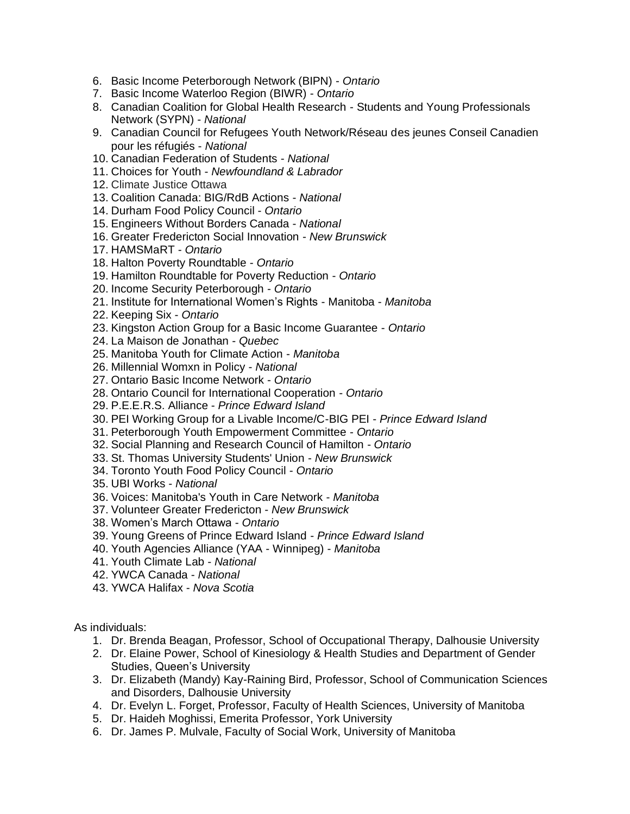- 6. Basic Income Peterborough Network (BIPN) *Ontario*
- 7. Basic Income Waterloo Region (BIWR) *Ontario*
- 8. Canadian Coalition for Global Health Research Students and Young Professionals Network (SYPN) - *National*
- 9. Canadian Council for Refugees Youth Network/Réseau des jeunes Conseil Canadien pour les réfugiés - *National*
- 10. Canadian Federation of Students *National*
- 11. Choices for Youth *Newfoundland & Labrador*
- 12. Climate Justice Ottawa
- 13. Coalition Canada: BIG/RdB Actions *National*
- 14. Durham Food Policy Council *Ontario*
- 15. Engineers Without Borders Canada *National*
- 16. Greater Fredericton Social Innovation *New Brunswick*
- 17. HAMSMaRT *Ontario*
- 18. Halton Poverty Roundtable *Ontario*
- 19. Hamilton Roundtable for Poverty Reduction *Ontario*
- 20. Income Security Peterborough *Ontario*
- 21. Institute for International Women's Rights Manitoba *Manitoba*
- 22. Keeping Six *Ontario*
- 23. Kingston Action Group for a Basic Income Guarantee *Ontario*
- 24. La Maison de Jonathan *Quebec*
- 25. Manitoba Youth for Climate Action *Manitoba*
- 26. Millennial Womxn in Policy *National*
- 27. Ontario Basic Income Network *Ontario*
- 28. Ontario Council for International Cooperation *Ontario*
- 29. P.E.E.R.S. Alliance *Prince Edward Island*
- 30. PEI Working Group for a Livable Income/C-BIG PEI *Prince Edward Island*
- 31. Peterborough Youth Empowerment Committee *Ontario*
- 32. Social Planning and Research Council of Hamilton *Ontario*
- 33. St. Thomas University Students' Union *New Brunswick*
- 34. Toronto Youth Food Policy Council *Ontario*
- 35. UBI Works *National*
- 36. Voices: Manitoba's Youth in Care Network *Manitoba*
- 37. Volunteer Greater Fredericton *New Brunswick*
- 38. Women's March Ottawa *Ontario*
- 39. Young Greens of Prince Edward Island *Prince Edward Island*
- 40. Youth Agencies Alliance (YAA Winnipeg) *Manitoba*
- 41. Youth Climate Lab *National*
- 42. YWCA Canada *National*
- 43. YWCA Halifax *Nova Scotia*

As individuals:

- 1. Dr. Brenda Beagan, Professor, School of Occupational Therapy, Dalhousie University
- 2. Dr. Elaine Power, School of Kinesiology & Health Studies and Department of Gender Studies, Queen's University
- 3. Dr. Elizabeth (Mandy) Kay-Raining Bird, Professor, School of Communication Sciences and Disorders, Dalhousie University
- 4. Dr. Evelyn L. Forget, Professor, Faculty of Health Sciences, University of Manitoba
- 5. Dr. Haideh Moghissi, Emerita Professor, York University
- 6. Dr. James P. Mulvale, Faculty of Social Work, University of Manitoba